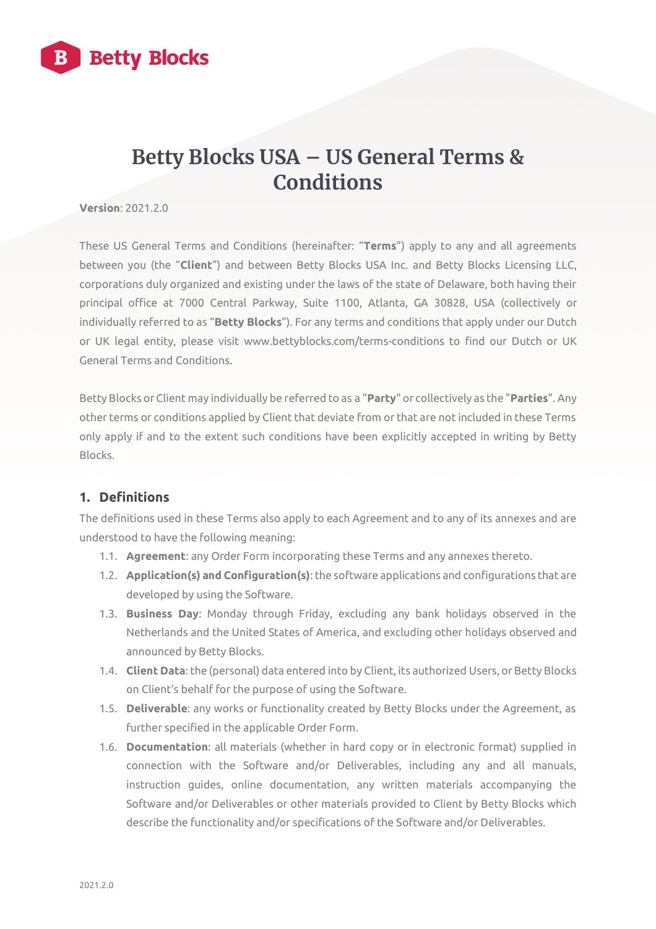

# **Betty Blocks USA – US General Terms & Conditions**

**Version**: 2021.2.0.

These US General Terms and Conditions (hereinafter: "**Terms**") apply to any and all agreements between you (the "**Client**") and between Betty Blocks USA Inc. and Betty Blocks Licensing LLC, corporations duly organized and existing under the laws of the state of Delaware, both having their principal office at 7000 Central Parkway, Suite 1100, Atlanta, GA 30828, USA (collectively or individually referred to as "**Betty Blocks**"). For any terms and conditions that apply under our Dutch or UK legal entity, please visit www.bettyblocks.com/terms-conditions to find our Dutch or UK General Terms and Conditions.

Betty Blocks or Client may individually be referred to as a "**Party**" or collectively as the "**Parties**". Any other terms or conditions applied by Client that deviate from or that are not included in these Terms only apply if and to the extent such conditions have been explicitly accepted in writing by Betty Blocks.

# **1. Definitions**

The definitions used in these Terms also apply to each Agreement and to any of its annexes and are understood to have the following meaning:

- 1.1. **Agreement**: any Order Form incorporating these Terms and any annexes thereto.
- 1.2. **Application(s) and Configuration(s)**: the software applications and configurations that are developed by using the Software.
- 1.3. **Business Day**: Monday through Friday, excluding any bank holidays observed in the Netherlands and the United States of America, and excluding other holidays observed and announced by Betty Blocks.
- 1.4. **Client Data**: the (personal) data entered into by Client, its authorized Users, or Betty Blocks on Client's behalf for the purpose of using the Software.
- 1.5. **Deliverable**: any works or functionality created by Betty Blocks under the Agreement, as further specified in the applicable Order Form.
- 1.6. **Documentation**: all materials (whether in hard copy or in electronic format) supplied in connection with the Software and/or Deliverables, including any and all manuals, instruction guides, online documentation, any written materials accompanying the Software and/or Deliverables or other materials provided to Client by Betty Blocks which describe the functionality and/or specifications of the Software and/or Deliverables.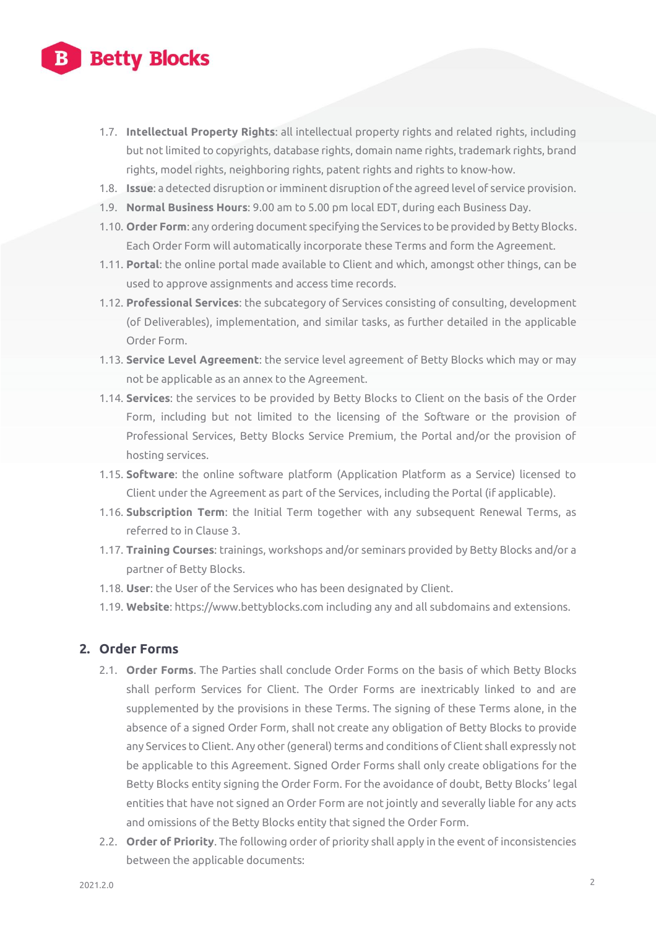

- 1.7. **Intellectual Property Rights**: all intellectual property rights and related rights, including but not limited to copyrights, database rights, domain name rights, trademark rights, brand rights, model rights, neighboring rights, patent rights and rights to know-how.
- 1.8. **Issue**: a detected disruption or imminent disruption of the agreed level of service provision.
- 1.9. **Normal Business Hours**: 9.00 am to 5.00 pm local EDT, during each Business Day.
- 1.10. **Order Form**: any ordering document specifying the Services to be provided by Betty Blocks. Each Order Form will automatically incorporate these Terms and form the Agreement.
- 1.11. **Portal**: the online portal made available to Client and which, amongst other things, can be used to approve assignments and access time records.
- 1.12. **Professional Services**: the subcategory of Services consisting of consulting, development (of Deliverables), implementation, and similar tasks, as further detailed in the applicable Order Form.
- 1.13. **Service Level Agreement**: the service level agreement of Betty Blocks which may or may not be applicable as an annex to the Agreement.
- 1.14. **Services**: the services to be provided by Betty Blocks to Client on the basis of the Order Form, including but not limited to the licensing of the Software or the provision of Professional Services, Betty Blocks Service Premium, the Portal and/or the provision of hosting services.
- 1.15. **Software**: the online software platform (Application Platform as a Service) licensed to Client under the Agreement as part of the Services, including the Portal (if applicable).
- 1.16. **Subscription Term**: the Initial Term together with any subsequent Renewal Terms, as referred to in Clause 3.
- 1.17. **Training Courses**: trainings, workshops and/or seminars provided by Betty Blocks and/or a partner of Betty Blocks.
- 1.18. **User**: the User of the Services who has been designated by Client.
- 1.19. **Website**: https://www.bettyblocks.com including any and all subdomains and extensions.

#### **2. Order Forms**

- 2.1. **Order Forms**. The Parties shall conclude Order Forms on the basis of which Betty Blocks shall perform Services for Client. The Order Forms are inextricably linked to and are supplemented by the provisions in these Terms. The signing of these Terms alone, in the absence of a signed Order Form, shall not create any obligation of Betty Blocks to provide any Services to Client. Any other (general) terms and conditions of Client shall expressly not be applicable to this Agreement. Signed Order Forms shall only create obligations for the Betty Blocks entity signing the Order Form. For the avoidance of doubt, Betty Blocks' legal entities that have not signed an Order Form are not jointly and severally liable for any acts and omissions of the Betty Blocks entity that signed the Order Form.
- 2.2. **Order of Priority**. The following order of priority shall apply in the event of inconsistencies between the applicable documents: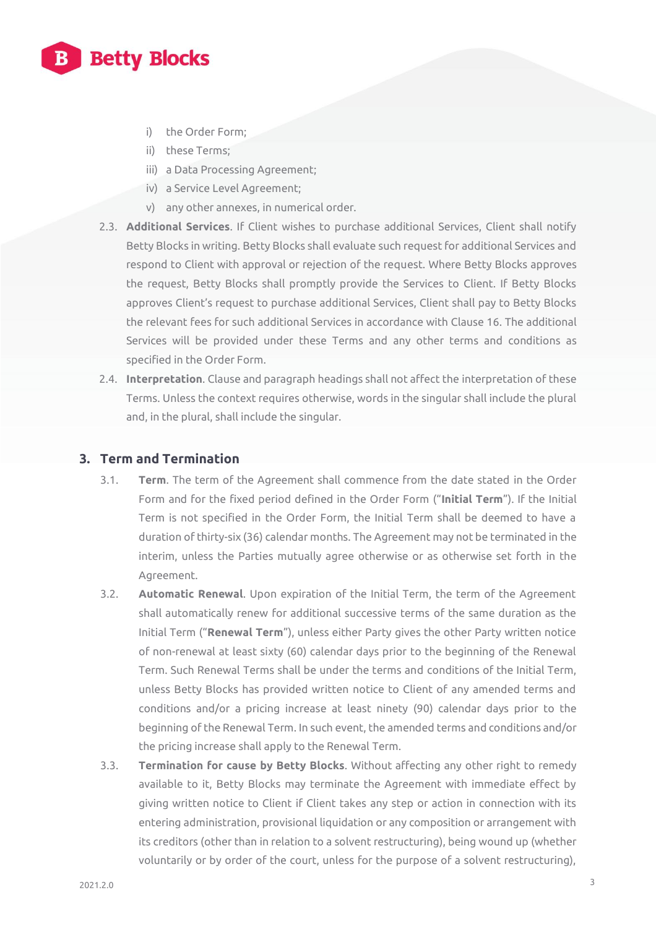

- i) the Order Form;
- ii) these Terms;
- iii) a Data Processing Agreement;
- iv) a Service Level Agreement;
- v) any other annexes, in numerical order.
- 2.3. **Additional Services**. If Client wishes to purchase additional Services, Client shall notify Betty Blocks in writing. Betty Blocks shall evaluate such request for additional Services and respond to Client with approval or rejection of the request. Where Betty Blocks approves the request, Betty Blocks shall promptly provide the Services to Client. If Betty Blocks approves Client's request to purchase additional Services, Client shall pay to Betty Blocks the relevant fees for such additional Services in accordance with Clause 16. The additional Services will be provided under these Terms and any other terms and conditions as specified in the Order Form.
- 2.4. **Interpretation**. Clause and paragraph headings shall not affect the interpretation of these Terms. Unless the context requires otherwise, words in the singular shall include the plural and, in the plural, shall include the singular.

#### **3. Term and Termination**

- 3.1. **Term**. The term of the Agreement shall commence from the date stated in the Order Form and for the fixed period defined in the Order Form ("**Initial Term**"). If the Initial Term is not specified in the Order Form, the Initial Term shall be deemed to have a duration of thirty-six (36) calendar months. The Agreement may not be terminated in the interim, unless the Parties mutually agree otherwise or as otherwise set forth in the Agreement.
- 3.2. **Automatic Renewal**. Upon expiration of the Initial Term, the term of the Agreement shall automatically renew for additional successive terms of the same duration as the Initial Term ("**Renewal Term**"), unless either Party gives the other Party written notice of non-renewal at least sixty (60) calendar days prior to the beginning of the Renewal Term. Such Renewal Terms shall be under the terms and conditions of the Initial Term, unless Betty Blocks has provided written notice to Client of any amended terms and conditions and/or a pricing increase at least ninety (90) calendar days prior to the beginning of the Renewal Term. In such event, the amended terms and conditions and/or the pricing increase shall apply to the Renewal Term.
- 3.3. **Termination for cause by Betty Blocks**. Without affecting any other right to remedy available to it, Betty Blocks may terminate the Agreement with immediate effect by giving written notice to Client if Client takes any step or action in connection with its entering administration, provisional liquidation or any composition or arrangement with its creditors (other than in relation to a solvent restructuring), being wound up (whether voluntarily or by order of the court, unless for the purpose of a solvent restructuring),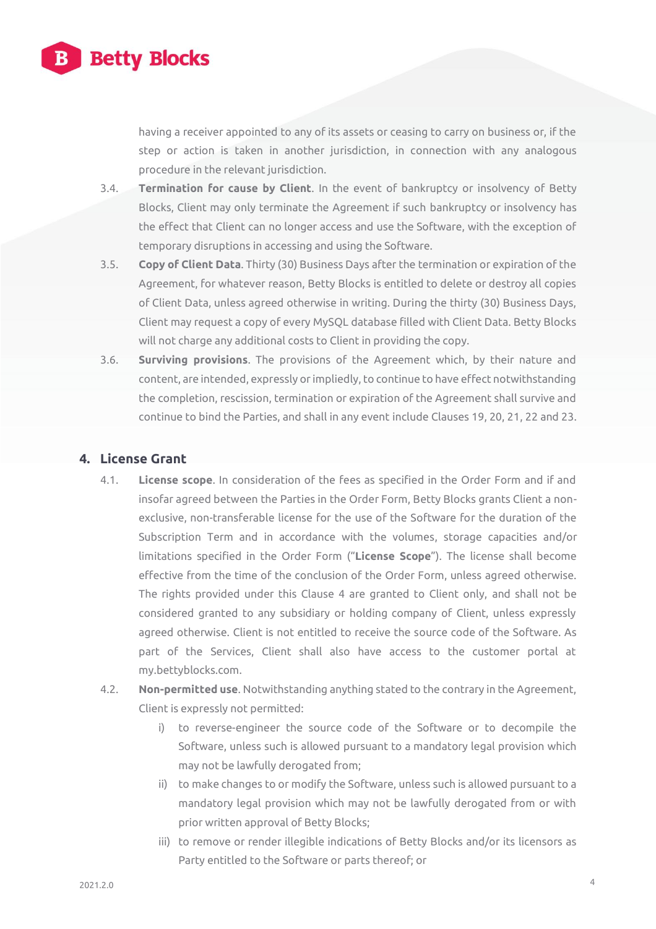

having a receiver appointed to any of its assets or ceasing to carry on business or, if the step or action is taken in another jurisdiction, in connection with any analogous procedure in the relevant jurisdiction.

- 3.4. **Termination for cause by Client**. In the event of bankruptcy or insolvency of Betty Blocks, Client may only terminate the Agreement if such bankruptcy or insolvency has the effect that Client can no longer access and use the Software, with the exception of temporary disruptions in accessing and using the Software.
- 3.5. **Copy of Client Data**. Thirty (30) Business Days after the termination or expiration of the Agreement, for whatever reason, Betty Blocks is entitled to delete or destroy all copies of Client Data, unless agreed otherwise in writing. During the thirty (30) Business Days, Client may request a copy of every MySQL database filled with Client Data. Betty Blocks will not charge any additional costs to Client in providing the copy.
- 3.6. **Surviving provisions**. The provisions of the Agreement which, by their nature and content, are intended, expressly or impliedly, to continue to have effect notwithstanding the completion, rescission, termination or expiration of the Agreement shall survive and continue to bind the Parties, and shall in any event include Clauses 19, 20, 21, 22 and 23.

# **4. License Grant**

- 4.1. **License scope**. In consideration of the fees as specified in the Order Form and if and insofar agreed between the Parties in the Order Form, Betty Blocks grants Client a nonexclusive, non-transferable license for the use of the Software for the duration of the Subscription Term and in accordance with the volumes, storage capacities and/or limitations specified in the Order Form ("**License Scope**"). The license shall become effective from the time of the conclusion of the Order Form, unless agreed otherwise. The rights provided under this Clause 4 are granted to Client only, and shall not be considered granted to any subsidiary or holding company of Client, unless expressly agreed otherwise. Client is not entitled to receive the source code of the Software. As part of the Services, Client shall also have access to the customer portal at my.bettyblocks.com.
- 4.2. **Non-permitted use**. Notwithstanding anything stated to the contrary in the Agreement, Client is expressly not permitted:
	- i) to reverse-engineer the source code of the Software or to decompile the Software, unless such is allowed pursuant to a mandatory legal provision which may not be lawfully derogated from;
	- ii) to make changes to or modify the Software, unless such is allowed pursuant to a mandatory legal provision which may not be lawfully derogated from or with prior written approval of Betty Blocks;
	- iii) to remove or render illegible indications of Betty Blocks and/or its licensors as Party entitled to the Software or parts thereof; or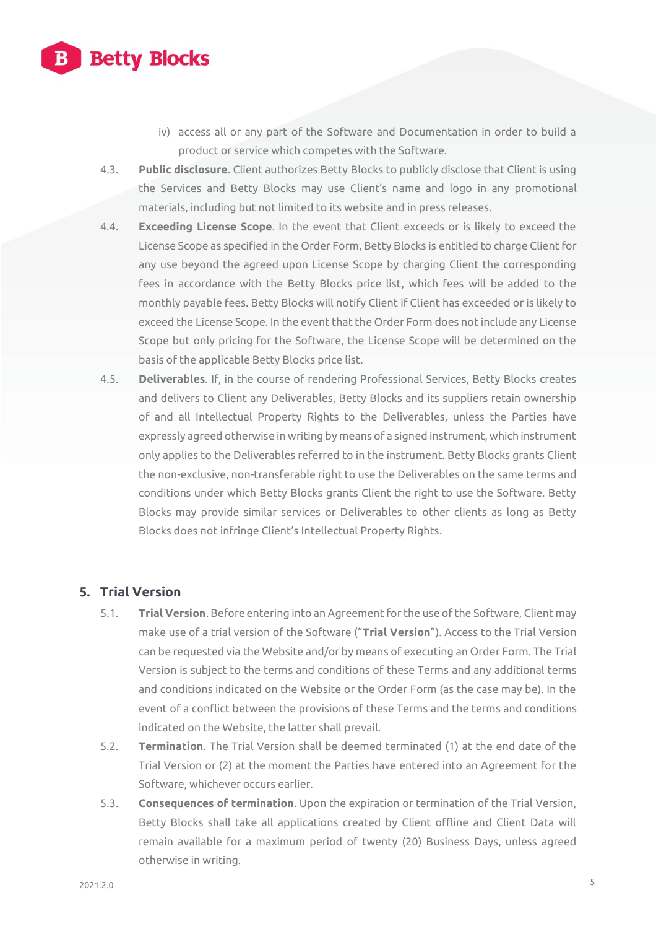

- iv) access all or any part of the Software and Documentation in order to build a product or service which competes with the Software.
- 4.3. **Public disclosure**. Client authorizes Betty Blocks to publicly disclose that Client is using the Services and Betty Blocks may use Client's name and logo in any promotional materials, including but not limited to its website and in press releases.
- 4.4. **Exceeding License Scope**. In the event that Client exceeds or is likely to exceed the License Scope as specified in the Order Form, Betty Blocks is entitled to charge Client for any use beyond the agreed upon License Scope by charging Client the corresponding fees in accordance with the Betty Blocks price list, which fees will be added to the monthly payable fees. Betty Blocks will notify Client if Client has exceeded or is likely to exceed the License Scope. In the event that the Order Form does not include any License Scope but only pricing for the Software, the License Scope will be determined on the basis of the applicable Betty Blocks price list.
- 4.5. **Deliverables**. If, in the course of rendering Professional Services, Betty Blocks creates and delivers to Client any Deliverables, Betty Blocks and its suppliers retain ownership of and all Intellectual Property Rights to the Deliverables, unless the Parties have expressly agreed otherwise in writing by means of a signed instrument, which instrument only applies to the Deliverables referred to in the instrument. Betty Blocks grants Client the non-exclusive, non-transferable right to use the Deliverables on the same terms and conditions under which Betty Blocks grants Client the right to use the Software. Betty Blocks may provide similar services or Deliverables to other clients as long as Betty Blocks does not infringe Client's Intellectual Property Rights.

#### **5. Trial Version**

- 5.1. **Trial Version**. Before entering into an Agreement for the use of the Software, Client may make use of a trial version of the Software ("**Trial Version**"). Access to the Trial Version can be requested via the Website and/or by means of executing an Order Form. The Trial Version is subject to the terms and conditions of these Terms and any additional terms and conditions indicated on the Website or the Order Form (as the case may be). In the event of a conflict between the provisions of these Terms and the terms and conditions indicated on the Website, the latter shall prevail.
- 5.2. **Termination**. The Trial Version shall be deemed terminated (1) at the end date of the Trial Version or (2) at the moment the Parties have entered into an Agreement for the Software, whichever occurs earlier.
- 5.3. **Consequences of termination**. Upon the expiration or termination of the Trial Version, Betty Blocks shall take all applications created by Client offline and Client Data will remain available for a maximum period of twenty (20) Business Days, unless agreed otherwise in writing.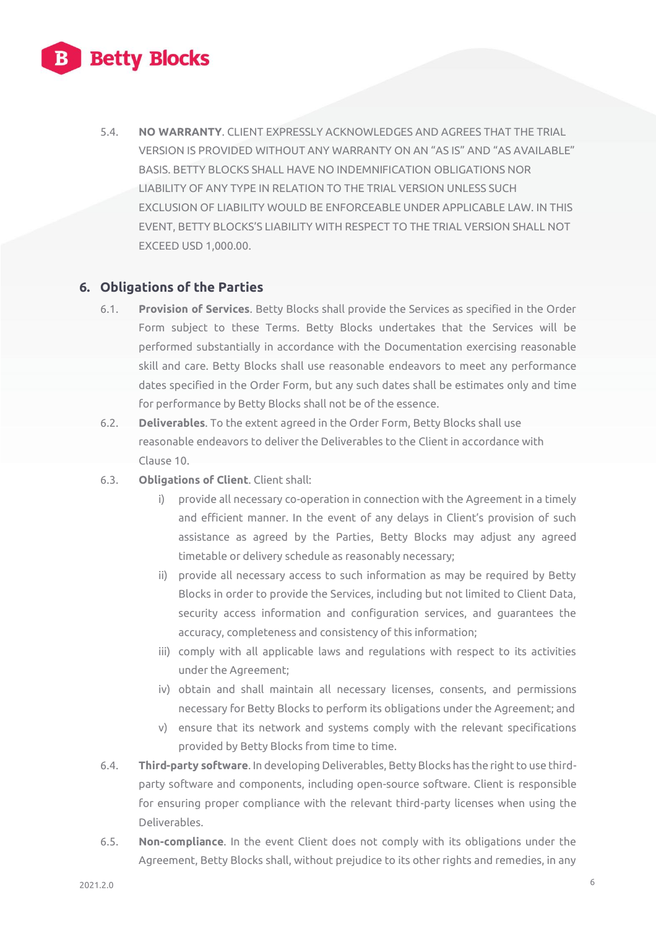

5.4. **NO WARRANTY**. CLIENT EXPRESSLY ACKNOWLEDGES AND AGREES THAT THE TRIAL VERSION IS PROVIDED WITHOUT ANY WARRANTY ON AN "AS IS" AND "AS AVAILABLE" BASIS. BETTY BLOCKS SHALL HAVE NO INDEMNIFICATION OBLIGATIONS NOR LIABILITY OF ANY TYPE IN RELATION TO THE TRIAL VERSION UNLESS SUCH EXCLUSION OF LIABILITY WOULD BE ENFORCEABLE UNDER APPLICABLE LAW. IN THIS EVENT, BETTY BLOCKS'S LIABILITY WITH RESPECT TO THE TRIAL VERSION SHALL NOT EXCEED USD 1,000.00.

# **6. Obligations of the Parties**

- 6.1. **Provision of Services**. Betty Blocks shall provide the Services as specified in the Order Form subject to these Terms. Betty Blocks undertakes that the Services will be performed substantially in accordance with the Documentation exercising reasonable skill and care. Betty Blocks shall use reasonable endeavors to meet any performance dates specified in the Order Form, but any such dates shall be estimates only and time for performance by Betty Blocks shall not be of the essence.
- 6.2. **Deliverables**. To the extent agreed in the Order Form, Betty Blocks shall use reasonable endeavors to deliver the Deliverables to the Client in accordance with Clause 10.
- 6.3. **Obligations of Client**. Client shall:
	- i) provide all necessary co-operation in connection with the Agreement in a timely and efficient manner. In the event of any delays in Client's provision of such assistance as agreed by the Parties, Betty Blocks may adjust any agreed timetable or delivery schedule as reasonably necessary;
	- ii) provide all necessary access to such information as may be required by Betty Blocks in order to provide the Services, including but not limited to Client Data, security access information and configuration services, and guarantees the accuracy, completeness and consistency of this information;
	- iii) comply with all applicable laws and regulations with respect to its activities under the Agreement;
	- iv) obtain and shall maintain all necessary licenses, consents, and permissions necessary for Betty Blocks to perform its obligations under the Agreement; and
	- v) ensure that its network and systems comply with the relevant specifications provided by Betty Blocks from time to time.
- 6.4. **Third-party software**. In developing Deliverables, Betty Blocks has the right to use thirdparty software and components, including open-source software. Client is responsible for ensuring proper compliance with the relevant third-party licenses when using the Deliverables.
- 6.5. **Non-compliance**. In the event Client does not comply with its obligations under the Agreement, Betty Blocks shall, without prejudice to its other rights and remedies, in any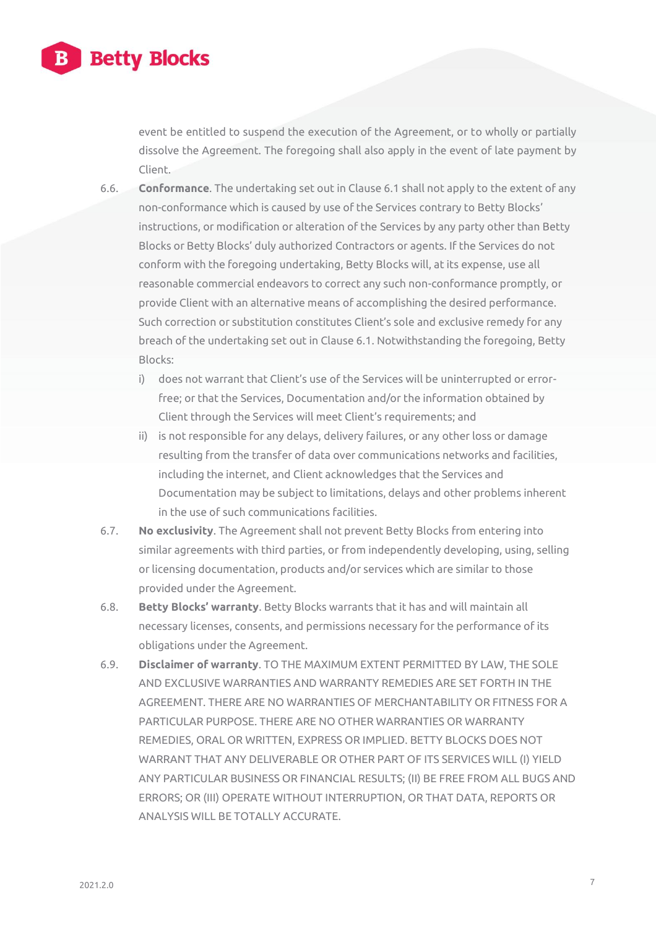

event be entitled to suspend the execution of the Agreement, or to wholly or partially dissolve the Agreement. The foregoing shall also apply in the event of late payment by Client.

- 6.6. **Conformance**. The undertaking set out in Clause 6.1 shall not apply to the extent of any non-conformance which is caused by use of the Services contrary to Betty Blocks' instructions, or modification or alteration of the Services by any party other than Betty Blocks or Betty Blocks' duly authorized Contractors or agents. If the Services do not conform with the foregoing undertaking, Betty Blocks will, at its expense, use all reasonable commercial endeavors to correct any such non-conformance promptly, or provide Client with an alternative means of accomplishing the desired performance. Such correction or substitution constitutes Client's sole and exclusive remedy for any breach of the undertaking set out in Clause 6.1. Notwithstanding the foregoing, Betty Blocks:
	- i) does not warrant that Client's use of the Services will be uninterrupted or errorfree; or that the Services, Documentation and/or the information obtained by Client through the Services will meet Client's requirements; and
	- ii) is not responsible for any delays, delivery failures, or any other loss or damage resulting from the transfer of data over communications networks and facilities, including the internet, and Client acknowledges that the Services and Documentation may be subject to limitations, delays and other problems inherent in the use of such communications facilities.
- 6.7. **No exclusivity**. The Agreement shall not prevent Betty Blocks from entering into similar agreements with third parties, or from independently developing, using, selling or licensing documentation, products and/or services which are similar to those provided under the Agreement.
- 6.8. **Betty Blocks' warranty**. Betty Blocks warrants that it has and will maintain all necessary licenses, consents, and permissions necessary for the performance of its obligations under the Agreement.
- 6.9. **Disclaimer of warranty**. TO THE MAXIMUM EXTENT PERMITTED BY LAW, THE SOLE AND EXCLUSIVE WARRANTIES AND WARRANTY REMEDIES ARE SET FORTH IN THE AGREEMENT. THERE ARE NO WARRANTIES OF MERCHANTABILITY OR FITNESS FOR A PARTICULAR PURPOSE. THERE ARE NO OTHER WARRANTIES OR WARRANTY REMEDIES, ORAL OR WRITTEN, EXPRESS OR IMPLIED. BETTY BLOCKS DOES NOT WARRANT THAT ANY DELIVERABLE OR OTHER PART OF ITS SERVICES WILL (I) YIELD ANY PARTICULAR BUSINESS OR FINANCIAL RESULTS; (II) BE FREE FROM ALL BUGS AND ERRORS; OR (III) OPERATE WITHOUT INTERRUPTION, OR THAT DATA, REPORTS OR ANALYSIS WILL BE TOTALLY ACCURATE.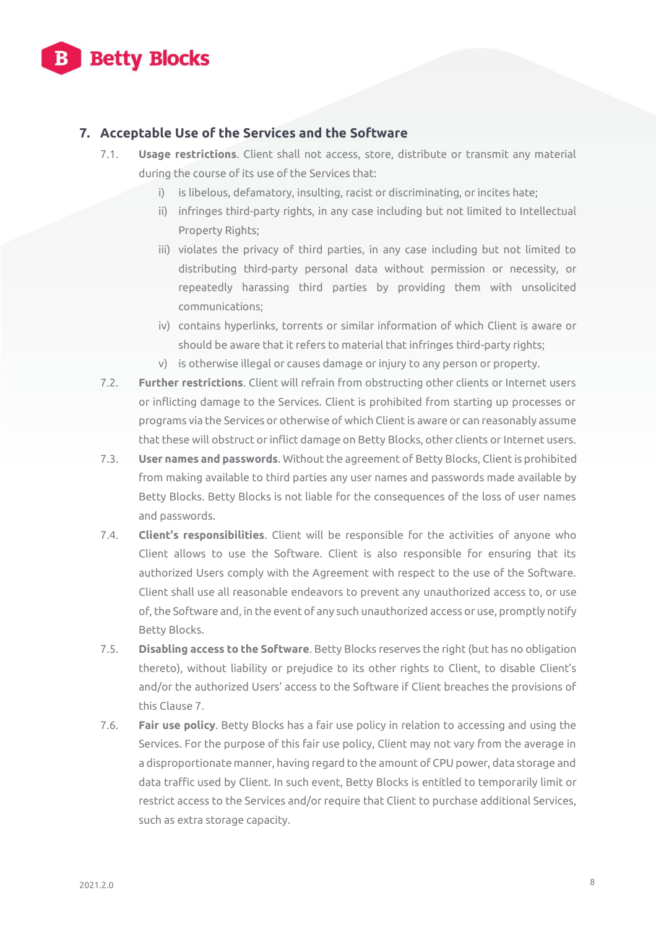

# **7. Acceptable Use of the Services and the Software**

- 7.1. **Usage restrictions**. Client shall not access, store, distribute or transmit any material during the course of its use of the Services that:
	- i) is libelous, defamatory, insulting, racist or discriminating, or incites hate;
	- ii) infringes third-party rights, in any case including but not limited to Intellectual Property Rights;
	- iii) violates the privacy of third parties, in any case including but not limited to distributing third-party personal data without permission or necessity, or repeatedly harassing third parties by providing them with unsolicited communications;
	- iv) contains hyperlinks, torrents or similar information of which Client is aware or should be aware that it refers to material that infringes third-party rights;
	- v) is otherwise illegal or causes damage or injury to any person or property.
- 7.2. **Further restrictions**. Client will refrain from obstructing other clients or Internet users or inflicting damage to the Services. Client is prohibited from starting up processes or programs via the Services or otherwise of which Client is aware or can reasonably assume that these will obstruct or inflict damage on Betty Blocks, other clients or Internet users.
- 7.3. **User names and passwords**. Without the agreement of Betty Blocks, Client is prohibited from making available to third parties any user names and passwords made available by Betty Blocks. Betty Blocks is not liable for the consequences of the loss of user names and passwords.
- 7.4. **Client's responsibilities**. Client will be responsible for the activities of anyone who Client allows to use the Software. Client is also responsible for ensuring that its authorized Users comply with the Agreement with respect to the use of the Software. Client shall use all reasonable endeavors to prevent any unauthorized access to, or use of, the Software and, in the event of any such unauthorized access or use, promptly notify Betty Blocks.
- 7.5. **Disabling access to the Software**. Betty Blocks reserves the right (but has no obligation thereto), without liability or prejudice to its other rights to Client, to disable Client's and/or the authorized Users' access to the Software if Client breaches the provisions of this Clause 7.
- 7.6. **Fair use policy**. Betty Blocks has a fair use policy in relation to accessing and using the Services. For the purpose of this fair use policy, Client may not vary from the average in a disproportionate manner, having regard to the amount of CPU power, data storage and data traffic used by Client. In such event, Betty Blocks is entitled to temporarily limit or restrict access to the Services and/or require that Client to purchase additional Services, such as extra storage capacity.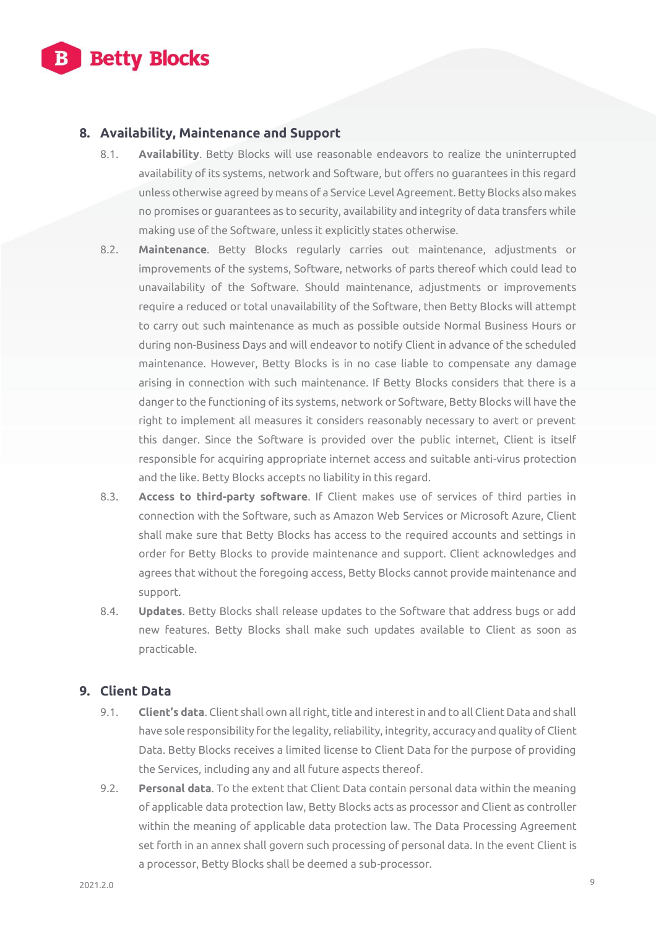

# **8. Availability, Maintenance and Support**

- 8.1. **Availability**. Betty Blocks will use reasonable endeavors to realize the uninterrupted availability of its systems, network and Software, but offers no guarantees in this regard unless otherwise agreed by means of a Service Level Agreement. Betty Blocks also makes no promises or guarantees as to security, availability and integrity of data transfers while making use of the Software, unless it explicitly states otherwise.
- 8.2. **Maintenance**. Betty Blocks regularly carries out maintenance, adjustments or improvements of the systems, Software, networks of parts thereof which could lead to unavailability of the Software. Should maintenance, adjustments or improvements require a reduced or total unavailability of the Software, then Betty Blocks will attempt to carry out such maintenance as much as possible outside Normal Business Hours or during non-Business Days and will endeavor to notify Client in advance of the scheduled maintenance. However, Betty Blocks is in no case liable to compensate any damage arising in connection with such maintenance. If Betty Blocks considers that there is a danger to the functioning of its systems, network or Software, Betty Blocks will have the right to implement all measures it considers reasonably necessary to avert or prevent this danger. Since the Software is provided over the public internet, Client is itself responsible for acquiring appropriate internet access and suitable anti-virus protection and the like. Betty Blocks accepts no liability in this regard.
- 8.3. **Access to third-party software**. If Client makes use of services of third parties in connection with the Software, such as Amazon Web Services or Microsoft Azure, Client shall make sure that Betty Blocks has access to the required accounts and settings in order for Betty Blocks to provide maintenance and support. Client acknowledges and agrees that without the foregoing access, Betty Blocks cannot provide maintenance and support.
- 8.4. **Updates**. Betty Blocks shall release updates to the Software that address bugs or add new features. Betty Blocks shall make such updates available to Client as soon as practicable.

#### **9. Client Data**

- 9.1. **Client's data**. Client shall own all right, title and interest in and to all Client Data and shall have sole responsibility for the legality, reliability, integrity, accuracy and quality of Client Data. Betty Blocks receives a limited license to Client Data for the purpose of providing the Services, including any and all future aspects thereof.
- 9.2. **Personal data**. To the extent that Client Data contain personal data within the meaning of applicable data protection law, Betty Blocks acts as processor and Client as controller within the meaning of applicable data protection law. The Data Processing Agreement set forth in an annex shall govern such processing of personal data. In the event Client is a processor, Betty Blocks shall be deemed a sub-processor.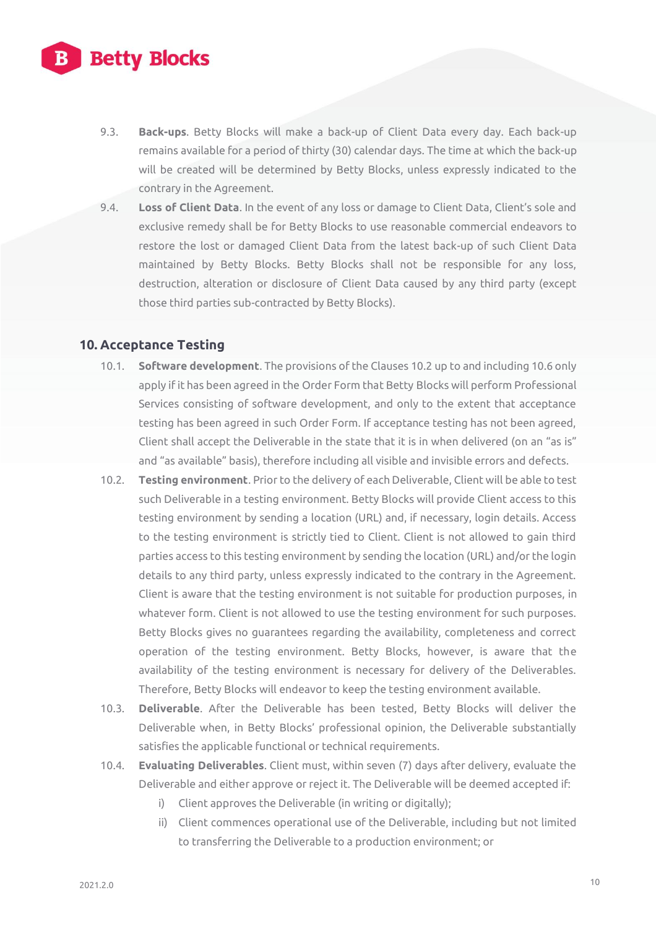

- 9.3. **Back-ups**. Betty Blocks will make a back-up of Client Data every day. Each back-up remains available for a period of thirty (30) calendar days. The time at which the back-up will be created will be determined by Betty Blocks, unless expressly indicated to the contrary in the Agreement.
- 9.4. **Loss of Client Data**. In the event of any loss or damage to Client Data, Client's sole and exclusive remedy shall be for Betty Blocks to use reasonable commercial endeavors to restore the lost or damaged Client Data from the latest back-up of such Client Data maintained by Betty Blocks. Betty Blocks shall not be responsible for any loss, destruction, alteration or disclosure of Client Data caused by any third party (except those third parties sub-contracted by Betty Blocks).

#### **10. Acceptance Testing**

- 10.1. **Software development**. The provisions of the Clauses 10.2 up to and including 10.6 only apply if it has been agreed in the Order Form that Betty Blocks will perform Professional Services consisting of software development, and only to the extent that acceptance testing has been agreed in such Order Form. If acceptance testing has not been agreed, Client shall accept the Deliverable in the state that it is in when delivered (on an "as is" and "as available" basis), therefore including all visible and invisible errors and defects.
- 10.2. **Testing environment**. Prior to the delivery of each Deliverable, Client will be able to test such Deliverable in a testing environment. Betty Blocks will provide Client access to this testing environment by sending a location (URL) and, if necessary, login details. Access to the testing environment is strictly tied to Client. Client is not allowed to gain third parties access to this testing environment by sending the location (URL) and/or the login details to any third party, unless expressly indicated to the contrary in the Agreement. Client is aware that the testing environment is not suitable for production purposes, in whatever form. Client is not allowed to use the testing environment for such purposes. Betty Blocks gives no guarantees regarding the availability, completeness and correct operation of the testing environment. Betty Blocks, however, is aware that the availability of the testing environment is necessary for delivery of the Deliverables. Therefore, Betty Blocks will endeavor to keep the testing environment available.
- 10.3. **Deliverable**. After the Deliverable has been tested, Betty Blocks will deliver the Deliverable when, in Betty Blocks' professional opinion, the Deliverable substantially satisfies the applicable functional or technical requirements.
- 10.4. **Evaluating Deliverables**. Client must, within seven (7) days after delivery, evaluate the Deliverable and either approve or reject it. The Deliverable will be deemed accepted if:
	- i) Client approves the Deliverable (in writing or digitally);
	- ii) Client commences operational use of the Deliverable, including but not limited to transferring the Deliverable to a production environment; or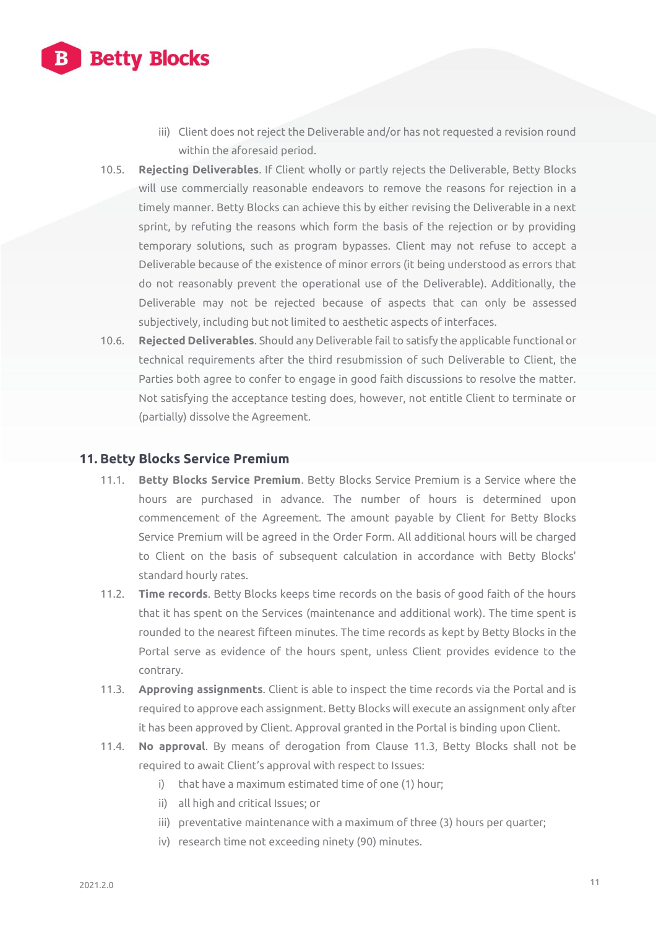

- iii) Client does not reject the Deliverable and/or has not requested a revision round within the aforesaid period.
- 10.5. **Rejecting Deliverables**. If Client wholly or partly rejects the Deliverable, Betty Blocks will use commercially reasonable endeavors to remove the reasons for rejection in a timely manner. Betty Blocks can achieve this by either revising the Deliverable in a next sprint, by refuting the reasons which form the basis of the rejection or by providing temporary solutions, such as program bypasses. Client may not refuse to accept a Deliverable because of the existence of minor errors (it being understood as errors that do not reasonably prevent the operational use of the Deliverable). Additionally, the Deliverable may not be rejected because of aspects that can only be assessed subjectively, including but not limited to aesthetic aspects of interfaces.
- 10.6. **Rejected Deliverables**. Should any Deliverable fail to satisfy the applicable functional or technical requirements after the third resubmission of such Deliverable to Client, the Parties both agree to confer to engage in good faith discussions to resolve the matter. Not satisfying the acceptance testing does, however, not entitle Client to terminate or (partially) dissolve the Agreement.

#### **11. Betty Blocks Service Premium**

- 11.1. **Betty Blocks Service Premium**. Betty Blocks Service Premium is a Service where the hours are purchased in advance. The number of hours is determined upon commencement of the Agreement. The amount payable by Client for Betty Blocks Service Premium will be agreed in the Order Form. All additional hours will be charged to Client on the basis of subsequent calculation in accordance with Betty Blocks' standard hourly rates.
- 11.2. **Time records**. Betty Blocks keeps time records on the basis of good faith of the hours that it has spent on the Services (maintenance and additional work). The time spent is rounded to the nearest fifteen minutes. The time records as kept by Betty Blocks in the Portal serve as evidence of the hours spent, unless Client provides evidence to the contrary.
- 11.3. **Approving assignments**. Client is able to inspect the time records via the Portal and is required to approve each assignment. Betty Blocks will execute an assignment only after it has been approved by Client. Approval granted in the Portal is binding upon Client.
- 11.4. **No approval**. By means of derogation from Clause 11.3, Betty Blocks shall not be required to await Client's approval with respect to Issues:
	- i) that have a maximum estimated time of one (1) hour;
	- ii) all high and critical Issues; or
	- iii) preventative maintenance with a maximum of three (3) hours per quarter;
	- iv) research time not exceeding ninety (90) minutes.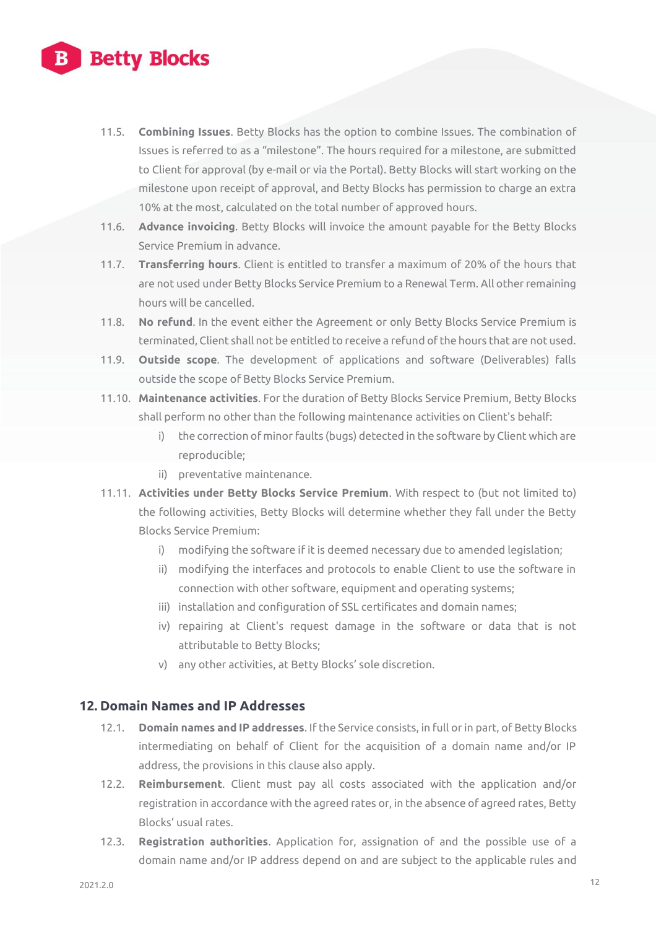# **Betty Blocks**

- 11.5. **Combining Issues**. Betty Blocks has the option to combine Issues. The combination of Issues is referred to as a "milestone". The hours required for a milestone, are submitted to Client for approval (by e-mail or via the Portal). Betty Blocks will start working on the milestone upon receipt of approval, and Betty Blocks has permission to charge an extra 10% at the most, calculated on the total number of approved hours.
- 11.6. **Advance invoicing**. Betty Blocks will invoice the amount payable for the Betty Blocks Service Premium in advance.
- 11.7. **Transferring hours**. Client is entitled to transfer a maximum of 20% of the hours that are not used under Betty Blocks Service Premium to a Renewal Term. All other remaining hours will be cancelled.
- 11.8. **No refund**. In the event either the Agreement or only Betty Blocks Service Premium is terminated, Client shall not be entitled to receive a refund of the hours that are not used.
- 11.9. **Outside scope**. The development of applications and software (Deliverables) falls outside the scope of Betty Blocks Service Premium.
- 11.10. **Maintenance activities**. For the duration of Betty Blocks Service Premium, Betty Blocks shall perform no other than the following maintenance activities on Client's behalf:
	- i) the correction of minor faults (bugs) detected in the software by Client which are reproducible;
	- ii) preventative maintenance.
- 11.11. **Activities under Betty Blocks Service Premium**. With respect to (but not limited to) the following activities, Betty Blocks will determine whether they fall under the Betty Blocks Service Premium:
	- i) modifying the software if it is deemed necessary due to amended legislation;
	- ii) modifying the interfaces and protocols to enable Client to use the software in connection with other software, equipment and operating systems;
	- iii) installation and configuration of SSL certificates and domain names;
	- iv) repairing at Client's request damage in the software or data that is not attributable to Betty Blocks;
	- v) any other activities, at Betty Blocks' sole discretion.

#### **12. Domain Names and IP Addresses**

- 12.1. **Domain names and IP addresses**. If the Service consists, in full or in part, of Betty Blocks intermediating on behalf of Client for the acquisition of a domain name and/or IP address, the provisions in this clause also apply.
- 12.2. **Reimbursement**. Client must pay all costs associated with the application and/or registration in accordance with the agreed rates or, in the absence of agreed rates, Betty Blocks' usual rates.
- 12.3. **Registration authorities**. Application for, assignation of and the possible use of a domain name and/or IP address depend on and are subject to the applicable rules and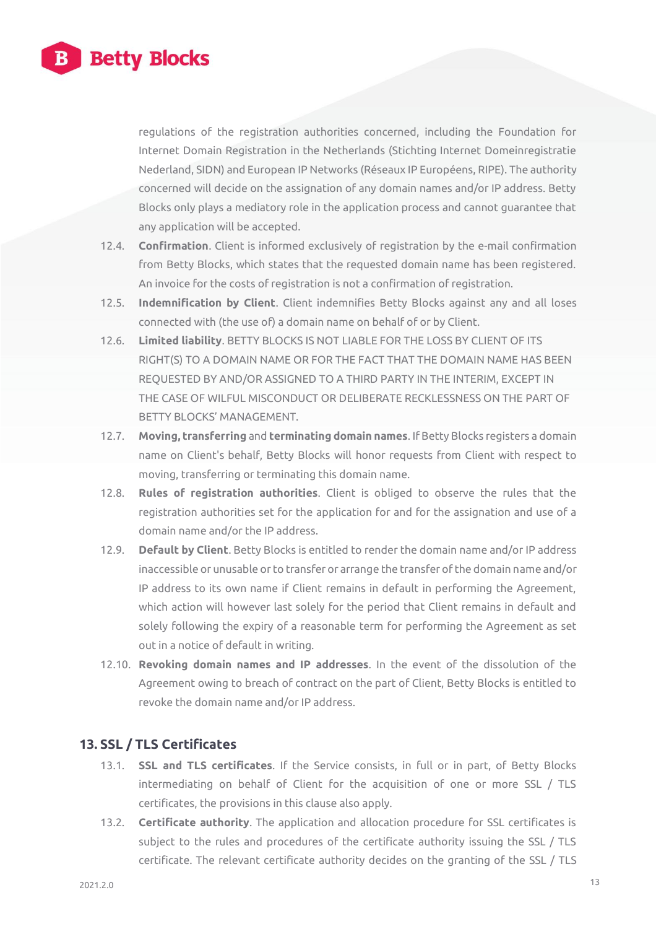

regulations of the registration authorities concerned, including the Foundation for Internet Domain Registration in the Netherlands (Stichting Internet Domeinregistratie Nederland, SIDN) and European IP Networks (Réseaux IP Européens, RIPE). The authority concerned will decide on the assignation of any domain names and/or IP address. Betty Blocks only plays a mediatory role in the application process and cannot guarantee that any application will be accepted.

- 12.4. **Confirmation**. Client is informed exclusively of registration by the e-mail confirmation from Betty Blocks, which states that the requested domain name has been registered. An invoice for the costs of registration is not a confirmation of registration.
- 12.5. **Indemnification by Client**. Client indemnifies Betty Blocks against any and all loses connected with (the use of) a domain name on behalf of or by Client.
- 12.6. **Limited liability**. BETTY BLOCKS IS NOT LIABLE FOR THE LOSS BY CLIENT OF ITS RIGHT(S) TO A DOMAIN NAME OR FOR THE FACT THAT THE DOMAIN NAME HAS BEEN REQUESTED BY AND/OR ASSIGNED TO A THIRD PARTY IN THE INTERIM, EXCEPT IN THE CASE OF WILFUL MISCONDUCT OR DELIBERATE RECKLESSNESS ON THE PART OF BETTY BLOCKS' MANAGEMENT.
- 12.7. **Moving, transferring** and **terminating domain names**. If Betty Blocks registers a domain name on Client's behalf, Betty Blocks will honor requests from Client with respect to moving, transferring or terminating this domain name.
- 12.8. **Rules of registration authorities**. Client is obliged to observe the rules that the registration authorities set for the application for and for the assignation and use of a domain name and/or the IP address.
- 12.9. **Default by Client**. Betty Blocks is entitled to render the domain name and/or IP address inaccessible or unusable or to transfer or arrange the transfer of the domain name and/or IP address to its own name if Client remains in default in performing the Agreement, which action will however last solely for the period that Client remains in default and solely following the expiry of a reasonable term for performing the Agreement as set out in a notice of default in writing.
- 12.10. **Revoking domain names and IP addresses**. In the event of the dissolution of the Agreement owing to breach of contract on the part of Client, Betty Blocks is entitled to revoke the domain name and/or IP address.

# **13. SSL / TLS Certificates**

- 13.1. **SSL and TLS certificates**. If the Service consists, in full or in part, of Betty Blocks intermediating on behalf of Client for the acquisition of one or more SSL / TLS certificates, the provisions in this clause also apply.
- 13.2. **Certificate authority**. The application and allocation procedure for SSL certificates is subject to the rules and procedures of the certificate authority issuing the SSL / TLS certificate. The relevant certificate authority decides on the granting of the SSL / TLS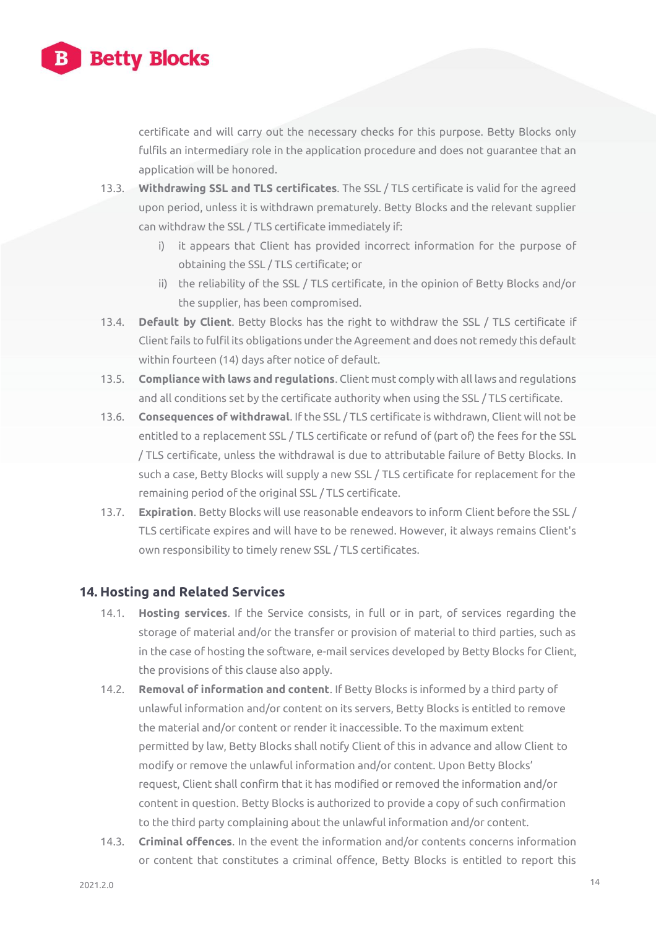

certificate and will carry out the necessary checks for this purpose. Betty Blocks only fulfils an intermediary role in the application procedure and does not guarantee that an application will be honored.

- 13.3. **Withdrawing SSL and TLS certificates**. The SSL / TLS certificate is valid for the agreed upon period, unless it is withdrawn prematurely. Betty Blocks and the relevant supplier can withdraw the SSL / TLS certificate immediately if:
	- i) it appears that Client has provided incorrect information for the purpose of obtaining the SSL / TLS certificate; or
	- ii) the reliability of the SSL / TLS certificate, in the opinion of Betty Blocks and/or the supplier, has been compromised.
- 13.4. **Default by Client**. Betty Blocks has the right to withdraw the SSL / TLS certificate if Client fails to fulfil its obligations under the Agreement and does not remedy this default within fourteen (14) days after notice of default.
- 13.5. **Compliance with laws and regulations**. Client must comply with all laws and regulations and all conditions set by the certificate authority when using the SSL / TLS certificate.
- 13.6. **Consequences of withdrawal**. If the SSL / TLS certificate is withdrawn, Client will not be entitled to a replacement SSL / TLS certificate or refund of (part of) the fees for the SSL / TLS certificate, unless the withdrawal is due to attributable failure of Betty Blocks. In such a case, Betty Blocks will supply a new SSL / TLS certificate for replacement for the remaining period of the original SSL / TLS certificate.
- 13.7. **Expiration**. Betty Blocks will use reasonable endeavors to inform Client before the SSL / TLS certificate expires and will have to be renewed. However, it always remains Client's own responsibility to timely renew SSL / TLS certificates.

# **14. Hosting and Related Services**

- 14.1. **Hosting services**. If the Service consists, in full or in part, of services regarding the storage of material and/or the transfer or provision of material to third parties, such as in the case of hosting the software, e-mail services developed by Betty Blocks for Client, the provisions of this clause also apply.
- 14.2. **Removal of information and content**. If Betty Blocks is informed by a third party of unlawful information and/or content on its servers, Betty Blocks is entitled to remove the material and/or content or render it inaccessible. To the maximum extent permitted by law, Betty Blocks shall notify Client of this in advance and allow Client to modify or remove the unlawful information and/or content. Upon Betty Blocks' request, Client shall confirm that it has modified or removed the information and/or content in question. Betty Blocks is authorized to provide a copy of such confirmation to the third party complaining about the unlawful information and/or content.
- 14.3. **Criminal offences**. In the event the information and/or contents concerns information or content that constitutes a criminal offence, Betty Blocks is entitled to report this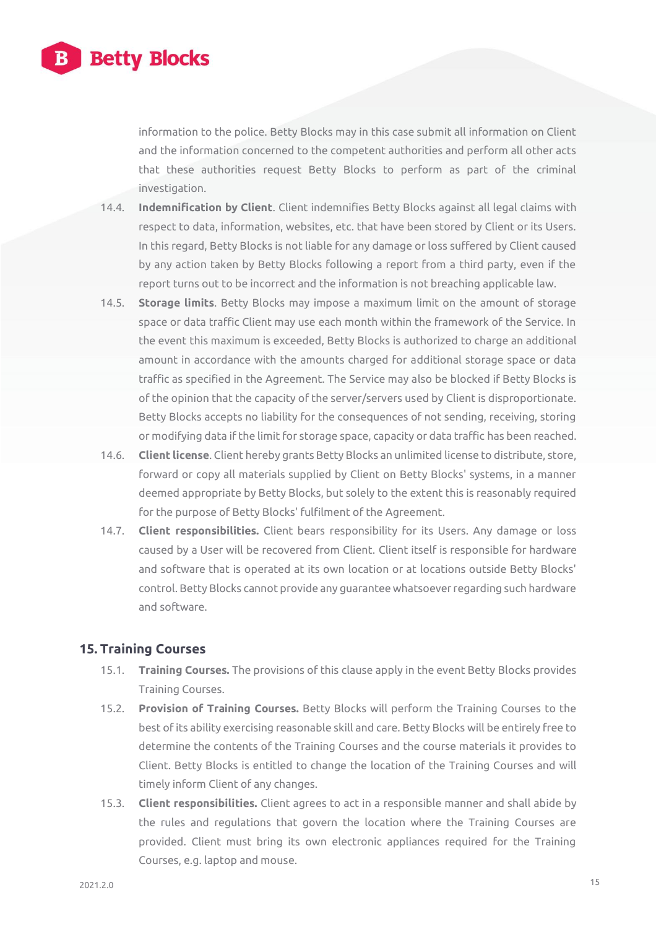

information to the police. Betty Blocks may in this case submit all information on Client and the information concerned to the competent authorities and perform all other acts that these authorities request Betty Blocks to perform as part of the criminal investigation.

- 14.4. **Indemnification by Client**. Client indemnifies Betty Blocks against all legal claims with respect to data, information, websites, etc. that have been stored by Client or its Users. In this regard, Betty Blocks is not liable for any damage or loss suffered by Client caused by any action taken by Betty Blocks following a report from a third party, even if the report turns out to be incorrect and the information is not breaching applicable law.
- 14.5. **Storage limits**. Betty Blocks may impose a maximum limit on the amount of storage space or data traffic Client may use each month within the framework of the Service. In the event this maximum is exceeded, Betty Blocks is authorized to charge an additional amount in accordance with the amounts charged for additional storage space or data traffic as specified in the Agreement. The Service may also be blocked if Betty Blocks is of the opinion that the capacity of the server/servers used by Client is disproportionate. Betty Blocks accepts no liability for the consequences of not sending, receiving, storing or modifying data if the limit for storage space, capacity or data traffic has been reached.
- 14.6. **Client license**. Client hereby grants Betty Blocks an unlimited license to distribute, store, forward or copy all materials supplied by Client on Betty Blocks' systems, in a manner deemed appropriate by Betty Blocks, but solely to the extent this is reasonably required for the purpose of Betty Blocks' fulfilment of the Agreement.
- 14.7. **Client responsibilities.** Client bears responsibility for its Users. Any damage or loss caused by a User will be recovered from Client. Client itself is responsible for hardware and software that is operated at its own location or at locations outside Betty Blocks' control. Betty Blocks cannot provide any guarantee whatsoever regarding such hardware and software.

#### **15. Training Courses**

- 15.1. **Training Courses.** The provisions of this clause apply in the event Betty Blocks provides Training Courses.
- 15.2. **Provision of Training Courses.** Betty Blocks will perform the Training Courses to the best of its ability exercising reasonable skill and care. Betty Blocks will be entirely free to determine the contents of the Training Courses and the course materials it provides to Client. Betty Blocks is entitled to change the location of the Training Courses and will timely inform Client of any changes.
- 15.3. **Client responsibilities.** Client agrees to act in a responsible manner and shall abide by the rules and regulations that govern the location where the Training Courses are provided. Client must bring its own electronic appliances required for the Training Courses, e.g. laptop and mouse.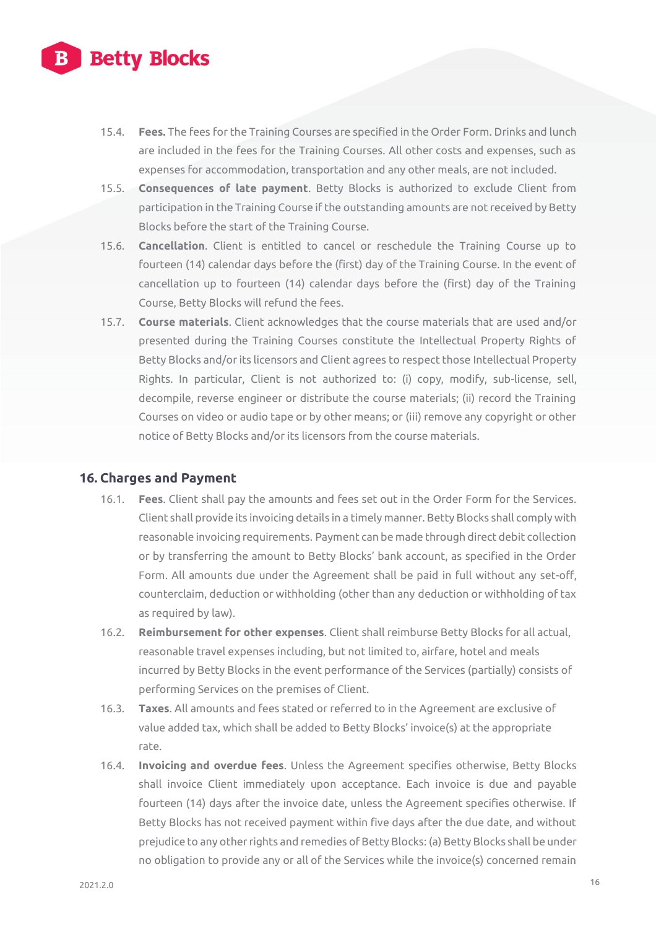

- 15.4. **Fees.** The fees for the Training Courses are specified in the Order Form. Drinks and lunch are included in the fees for the Training Courses. All other costs and expenses, such as expenses for accommodation, transportation and any other meals, are not included.
- 15.5. **Consequences of late payment**. Betty Blocks is authorized to exclude Client from participation in the Training Course if the outstanding amounts are not received by Betty Blocks before the start of the Training Course.
- 15.6. **Cancellation**. Client is entitled to cancel or reschedule the Training Course up to fourteen (14) calendar days before the (first) day of the Training Course. In the event of cancellation up to fourteen (14) calendar days before the (first) day of the Training Course, Betty Blocks will refund the fees.
- 15.7. **Course materials**. Client acknowledges that the course materials that are used and/or presented during the Training Courses constitute the Intellectual Property Rights of Betty Blocks and/or its licensors and Client agrees to respect those Intellectual Property Rights. In particular, Client is not authorized to: (i) copy, modify, sub-license, sell, decompile, reverse engineer or distribute the course materials; (ii) record the Training Courses on video or audio tape or by other means; or (iii) remove any copyright or other notice of Betty Blocks and/or its licensors from the course materials.

#### **16. Charges and Payment**

- 16.1. **Fees**. Client shall pay the amounts and fees set out in the Order Form for the Services. Client shall provide its invoicing details in a timely manner. Betty Blocks shall comply with reasonable invoicing requirements. Payment can be made through direct debit collection or by transferring the amount to Betty Blocks' bank account, as specified in the Order Form. All amounts due under the Agreement shall be paid in full without any set-off, counterclaim, deduction or withholding (other than any deduction or withholding of tax as required by law).
- 16.2. **Reimbursement for other expenses**. Client shall reimburse Betty Blocks for all actual, reasonable travel expenses including, but not limited to, airfare, hotel and meals incurred by Betty Blocks in the event performance of the Services (partially) consists of performing Services on the premises of Client.
- 16.3. **Taxes**. All amounts and fees stated or referred to in the Agreement are exclusive of value added tax, which shall be added to Betty Blocks' invoice(s) at the appropriate rate.
- 16.4. **Invoicing and overdue fees**. Unless the Agreement specifies otherwise, Betty Blocks shall invoice Client immediately upon acceptance. Each invoice is due and payable fourteen (14) days after the invoice date, unless the Agreement specifies otherwise. If Betty Blocks has not received payment within five days after the due date, and without prejudice to any other rights and remedies of Betty Blocks: (a) Betty Blocks shall be under no obligation to provide any or all of the Services while the invoice(s) concerned remain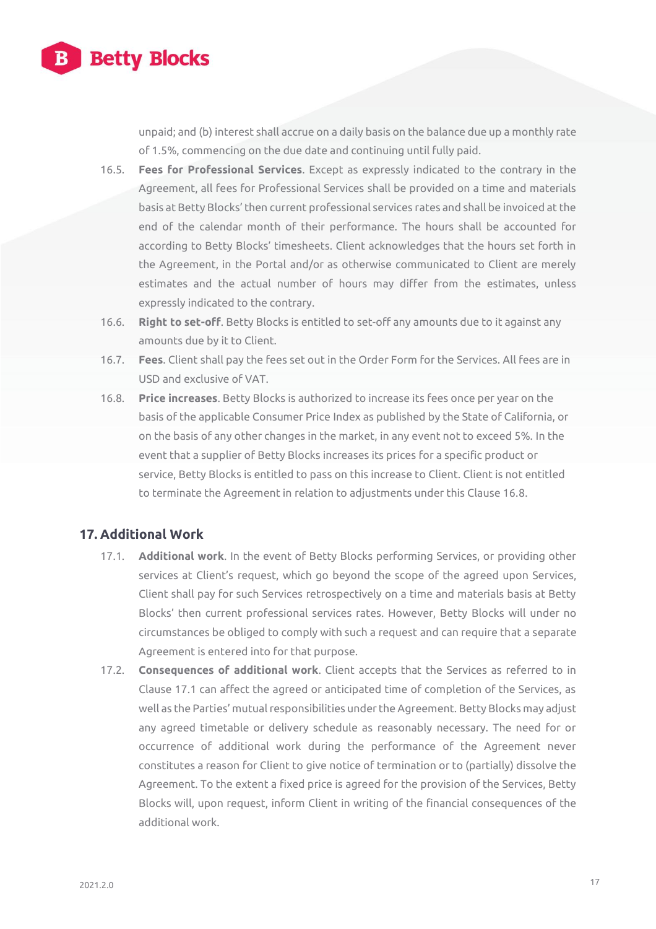

unpaid; and (b) interest shall accrue on a daily basis on the balance due up a monthly rate of 1.5%, commencing on the due date and continuing until fully paid.

- 16.5. **Fees for Professional Services**. Except as expressly indicated to the contrary in the Agreement, all fees for Professional Services shall be provided on a time and materials basis at Betty Blocks' then current professional services rates and shall be invoiced at the end of the calendar month of their performance. The hours shall be accounted for according to Betty Blocks' timesheets. Client acknowledges that the hours set forth in the Agreement, in the Portal and/or as otherwise communicated to Client are merely estimates and the actual number of hours may differ from the estimates, unless expressly indicated to the contrary.
- 16.6. **Right to set-off**. Betty Blocks is entitled to set-off any amounts due to it against any amounts due by it to Client.
- 16.7. **Fees**. Client shall pay the fees set out in the Order Form for the Services. All fees are in USD and exclusive of VAT.
- 16.8. **Price increases**. Betty Blocks is authorized to increase its fees once per year on the basis of the applicable Consumer Price Index as published by the State of California, or on the basis of any other changes in the market, in any event not to exceed 5%. In the event that a supplier of Betty Blocks increases its prices for a specific product or service, Betty Blocks is entitled to pass on this increase to Client. Client is not entitled to terminate the Agreement in relation to adjustments under this Clause 16.8.

# **17. Additional Work**

- 17.1. **Additional work**. In the event of Betty Blocks performing Services, or providing other services at Client's request, which go beyond the scope of the agreed upon Services, Client shall pay for such Services retrospectively on a time and materials basis at Betty Blocks' then current professional services rates. However, Betty Blocks will under no circumstances be obliged to comply with such a request and can require that a separate Agreement is entered into for that purpose.
- 17.2. **Consequences of additional work**. Client accepts that the Services as referred to in Clause 17.1 can affect the agreed or anticipated time of completion of the Services, as well as the Parties' mutual responsibilities under the Agreement. Betty Blocks may adjust any agreed timetable or delivery schedule as reasonably necessary. The need for or occurrence of additional work during the performance of the Agreement never constitutes a reason for Client to give notice of termination or to (partially) dissolve the Agreement. To the extent a fixed price is agreed for the provision of the Services, Betty Blocks will, upon request, inform Client in writing of the financial consequences of the additional work.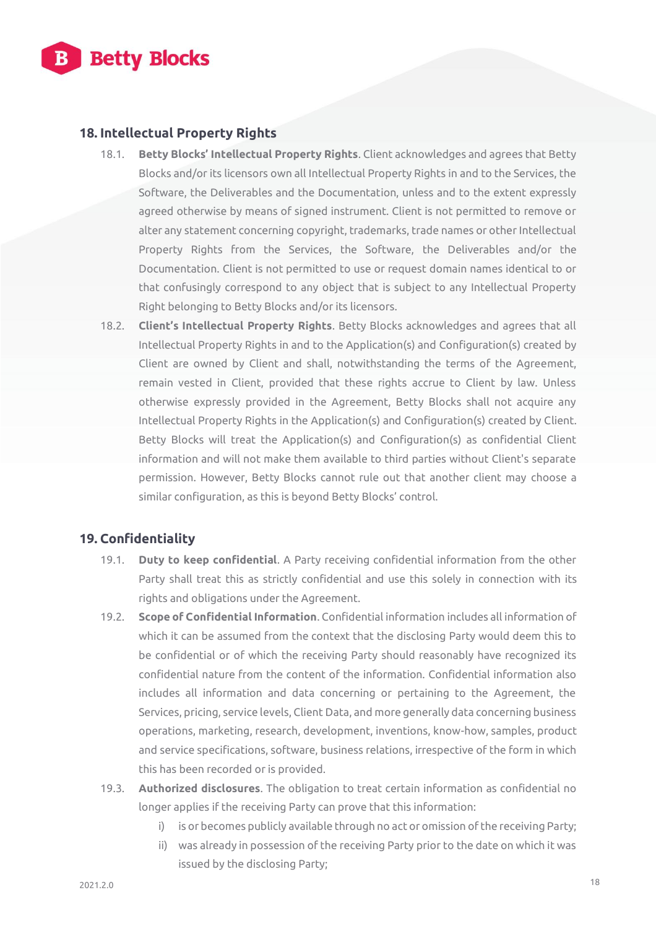

# **18. Intellectual Property Rights**

- 18.1. **Betty Blocks' Intellectual Property Rights**. Client acknowledges and agrees that Betty Blocks and/or its licensors own all Intellectual Property Rights in and to the Services, the Software, the Deliverables and the Documentation, unless and to the extent expressly agreed otherwise by means of signed instrument. Client is not permitted to remove or alter any statement concerning copyright, trademarks, trade names or other Intellectual Property Rights from the Services, the Software, the Deliverables and/or the Documentation. Client is not permitted to use or request domain names identical to or that confusingly correspond to any object that is subject to any Intellectual Property Right belonging to Betty Blocks and/or its licensors.
- 18.2. **Client's Intellectual Property Rights**. Betty Blocks acknowledges and agrees that all Intellectual Property Rights in and to the Application(s) and Configuration(s) created by Client are owned by Client and shall, notwithstanding the terms of the Agreement, remain vested in Client, provided that these rights accrue to Client by law. Unless otherwise expressly provided in the Agreement, Betty Blocks shall not acquire any Intellectual Property Rights in the Application(s) and Configuration(s) created by Client. Betty Blocks will treat the Application(s) and Configuration(s) as confidential Client information and will not make them available to third parties without Client's separate permission. However, Betty Blocks cannot rule out that another client may choose a similar configuration, as this is beyond Betty Blocks' control.

# **19. Confidentiality**

- 19.1. **Duty to keep confidential**. A Party receiving confidential information from the other Party shall treat this as strictly confidential and use this solely in connection with its rights and obligations under the Agreement.
- 19.2. **Scope of Confidential Information**. Confidential information includes all information of which it can be assumed from the context that the disclosing Party would deem this to be confidential or of which the receiving Party should reasonably have recognized its confidential nature from the content of the information. Confidential information also includes all information and data concerning or pertaining to the Agreement, the Services, pricing, service levels, Client Data, and more generally data concerning business operations, marketing, research, development, inventions, know-how, samples, product and service specifications, software, business relations, irrespective of the form in which this has been recorded or is provided.
- 19.3. **Authorized disclosures**. The obligation to treat certain information as confidential no longer applies if the receiving Party can prove that this information:
	- i) is or becomes publicly available through no act or omission of the receiving Party;
	- ii) was already in possession of the receiving Party prior to the date on which it was issued by the disclosing Party;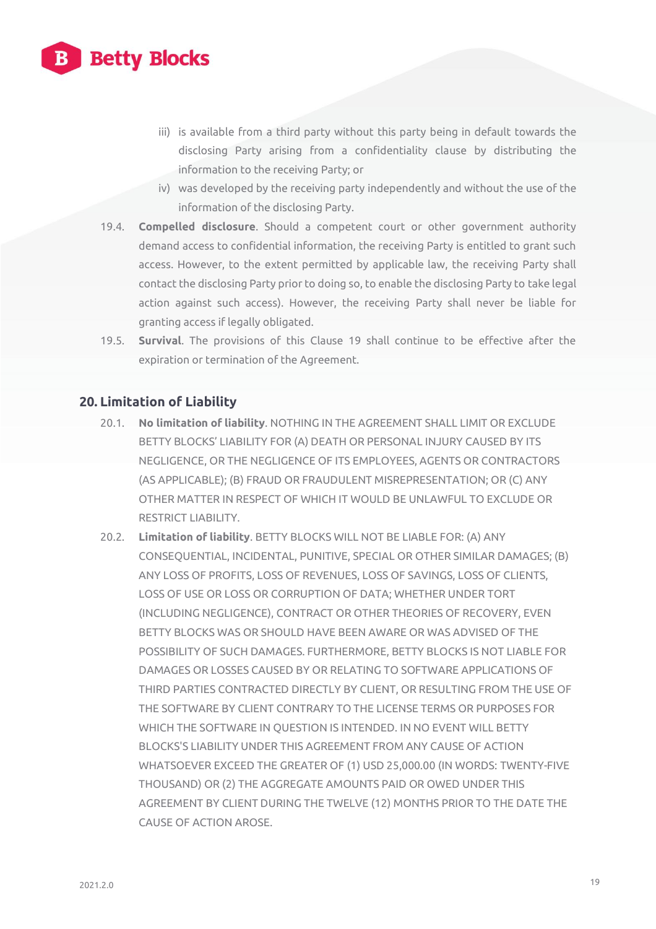

- iii) is available from a third party without this party being in default towards the disclosing Party arising from a confidentiality clause by distributing the information to the receiving Party; or
- iv) was developed by the receiving party independently and without the use of the information of the disclosing Party.
- 19.4. **Compelled disclosure**. Should a competent court or other government authority demand access to confidential information, the receiving Party is entitled to grant such access. However, to the extent permitted by applicable law, the receiving Party shall contact the disclosing Party prior to doing so, to enable the disclosing Party to take legal action against such access). However, the receiving Party shall never be liable for granting access if legally obligated.
- 19.5. **Survival**. The provisions of this Clause 19 shall continue to be effective after the expiration or termination of the Agreement.

#### **20. Limitation of Liability**

- 20.1. **No limitation of liability**. NOTHING IN THE AGREEMENT SHALL LIMIT OR EXCLUDE BETTY BLOCKS' LIABILITY FOR (A) DEATH OR PERSONAL INJURY CAUSED BY ITS NEGLIGENCE, OR THE NEGLIGENCE OF ITS EMPLOYEES, AGENTS OR CONTRACTORS (AS APPLICABLE); (B) FRAUD OR FRAUDULENT MISREPRESENTATION; OR (C) ANY OTHER MATTER IN RESPECT OF WHICH IT WOULD BE UNLAWFUL TO EXCLUDE OR RESTRICT LIABILITY.
- 20.2. **Limitation of liability**. BETTY BLOCKS WILL NOT BE LIABLE FOR: (A) ANY CONSEQUENTIAL, INCIDENTAL, PUNITIVE, SPECIAL OR OTHER SIMILAR DAMAGES; (B) ANY LOSS OF PROFITS, LOSS OF REVENUES, LOSS OF SAVINGS, LOSS OF CLIENTS, LOSS OF USE OR LOSS OR CORRUPTION OF DATA; WHETHER UNDER TORT (INCLUDING NEGLIGENCE), CONTRACT OR OTHER THEORIES OF RECOVERY, EVEN BETTY BLOCKS WAS OR SHOULD HAVE BEEN AWARE OR WAS ADVISED OF THE POSSIBILITY OF SUCH DAMAGES. FURTHERMORE, BETTY BLOCKS IS NOT LIABLE FOR DAMAGES OR LOSSES CAUSED BY OR RELATING TO SOFTWARE APPLICATIONS OF THIRD PARTIES CONTRACTED DIRECTLY BY CLIENT, OR RESULTING FROM THE USE OF THE SOFTWARE BY CLIENT CONTRARY TO THE LICENSE TERMS OR PURPOSES FOR WHICH THE SOFTWARE IN QUESTION IS INTENDED. IN NO EVENT WILL BETTY BLOCKS'S LIABILITY UNDER THIS AGREEMENT FROM ANY CAUSE OF ACTION WHATSOEVER EXCEED THE GREATER OF (1) USD 25,000.00 (IN WORDS: TWENTY-FIVE THOUSAND) OR (2) THE AGGREGATE AMOUNTS PAID OR OWED UNDER THIS AGREEMENT BY CLIENT DURING THE TWELVE (12) MONTHS PRIOR TO THE DATE THE CAUSE OF ACTION AROSE.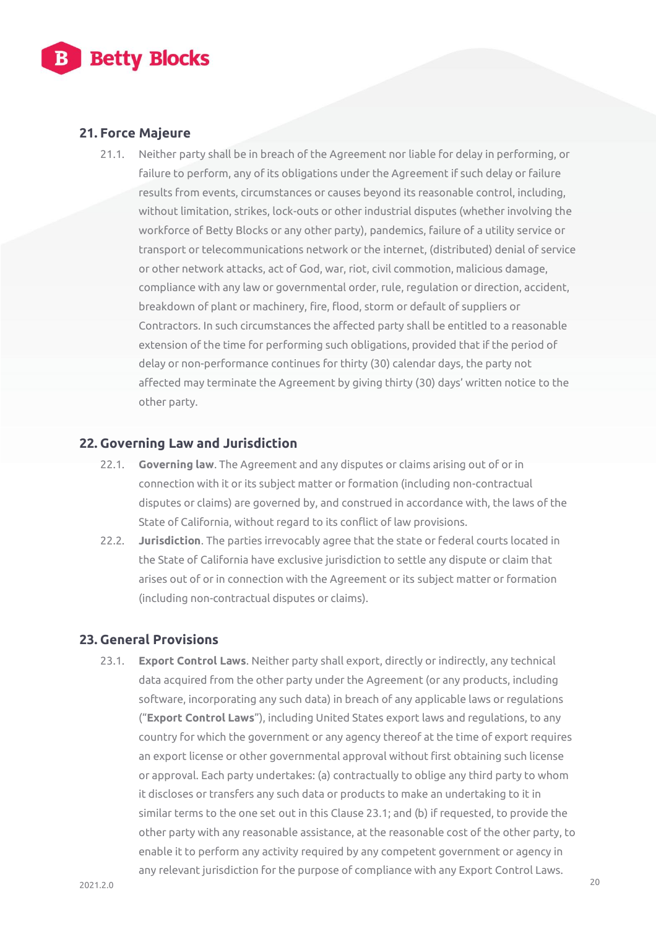

# **21. Force Majeure**

21.1. Neither party shall be in breach of the Agreement nor liable for delay in performing, or failure to perform, any of its obligations under the Agreement if such delay or failure results from events, circumstances or causes beyond its reasonable control, including, without limitation, strikes, lock-outs or other industrial disputes (whether involving the workforce of Betty Blocks or any other party), pandemics, failure of a utility service or transport or telecommunications network or the internet, (distributed) denial of service or other network attacks, act of God, war, riot, civil commotion, malicious damage, compliance with any law or governmental order, rule, regulation or direction, accident, breakdown of plant or machinery, fire, flood, storm or default of suppliers or Contractors. In such circumstances the affected party shall be entitled to a reasonable extension of the time for performing such obligations, provided that if the period of delay or non-performance continues for thirty (30) calendar days, the party not affected may terminate the Agreement by giving thirty (30) days' written notice to the other party.

#### **22. Governing Law and Jurisdiction**

- 22.1. **Governing law**. The Agreement and any disputes or claims arising out of or in connection with it or its subject matter or formation (including non-contractual disputes or claims) are governed by, and construed in accordance with, the laws of the State of California, without regard to its conflict of law provisions.
- 22.2. **Jurisdiction**. The parties irrevocably agree that the state or federal courts located in the State of California have exclusive jurisdiction to settle any dispute or claim that arises out of or in connection with the Agreement or its subject matter or formation (including non-contractual disputes or claims).

# **23. General Provisions**

23.1. **Export Control Laws**. Neither party shall export, directly or indirectly, any technical data acquired from the other party under the Agreement (or any products, including software, incorporating any such data) in breach of any applicable laws or regulations ("**Export Control Laws**"), including United States export laws and regulations, to any country for which the government or any agency thereof at the time of export requires an export license or other governmental approval without first obtaining such license or approval. Each party undertakes: (a) contractually to oblige any third party to whom it discloses or transfers any such data or products to make an undertaking to it in similar terms to the one set out in this Clause 23.1; and (b) if requested, to provide the other party with any reasonable assistance, at the reasonable cost of the other party, to enable it to perform any activity required by any competent government or agency in any relevant jurisdiction for the purpose of compliance with any Export Control Laws.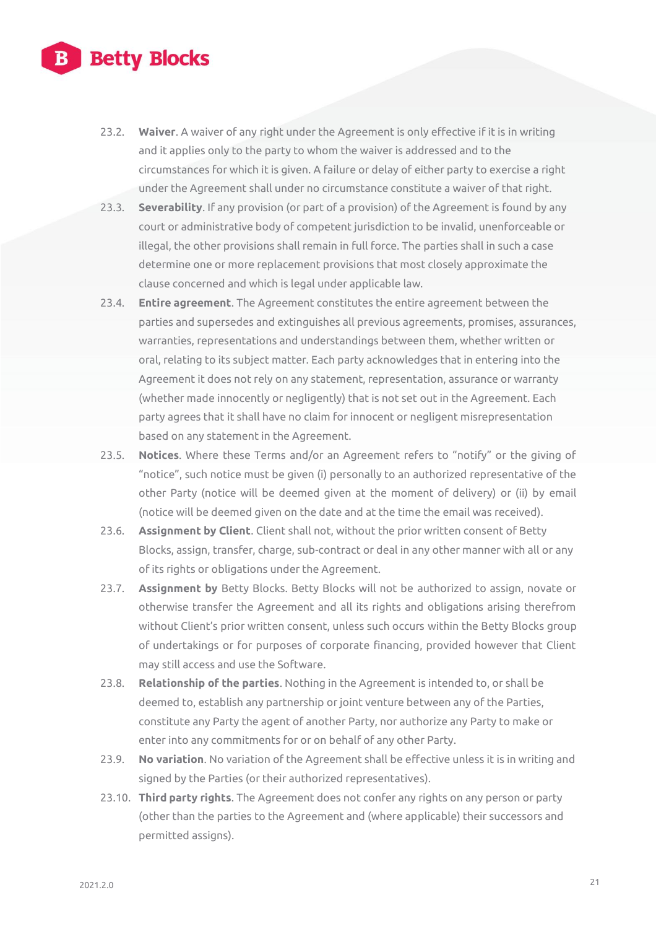

- 23.2. **Waiver**. A waiver of any right under the Agreement is only effective if it is in writing and it applies only to the party to whom the waiver is addressed and to the circumstances for which it is given. A failure or delay of either party to exercise a right under the Agreement shall under no circumstance constitute a waiver of that right.
- 23.3. **Severability**. If any provision (or part of a provision) of the Agreement is found by any court or administrative body of competent jurisdiction to be invalid, unenforceable or illegal, the other provisions shall remain in full force. The parties shall in such a case determine one or more replacement provisions that most closely approximate the clause concerned and which is legal under applicable law.
- 23.4. **Entire agreement**. The Agreement constitutes the entire agreement between the parties and supersedes and extinguishes all previous agreements, promises, assurances, warranties, representations and understandings between them, whether written or oral, relating to its subject matter. Each party acknowledges that in entering into the Agreement it does not rely on any statement, representation, assurance or warranty (whether made innocently or negligently) that is not set out in the Agreement. Each party agrees that it shall have no claim for innocent or negligent misrepresentation based on any statement in the Agreement.
- 23.5. **Notices**. Where these Terms and/or an Agreement refers to "notify" or the giving of "notice", such notice must be given (i) personally to an authorized representative of the other Party (notice will be deemed given at the moment of delivery) or (ii) by email (notice will be deemed given on the date and at the time the email was received).
- 23.6. **Assignment by Client**. Client shall not, without the prior written consent of Betty Blocks, assign, transfer, charge, sub-contract or deal in any other manner with all or any of its rights or obligations under the Agreement.
- 23.7. **Assignment by** Betty Blocks. Betty Blocks will not be authorized to assign, novate or otherwise transfer the Agreement and all its rights and obligations arising therefrom without Client's prior written consent, unless such occurs within the Betty Blocks group of undertakings or for purposes of corporate financing, provided however that Client may still access and use the Software.
- 23.8. **Relationship of the parties**. Nothing in the Agreement is intended to, or shall be deemed to, establish any partnership or joint venture between any of the Parties, constitute any Party the agent of another Party, nor authorize any Party to make or enter into any commitments for or on behalf of any other Party.
- 23.9. **No variation**. No variation of the Agreement shall be effective unless it is in writing and signed by the Parties (or their authorized representatives).
- 23.10. **Third party rights**. The Agreement does not confer any rights on any person or party (other than the parties to the Agreement and (where applicable) their successors and permitted assigns).